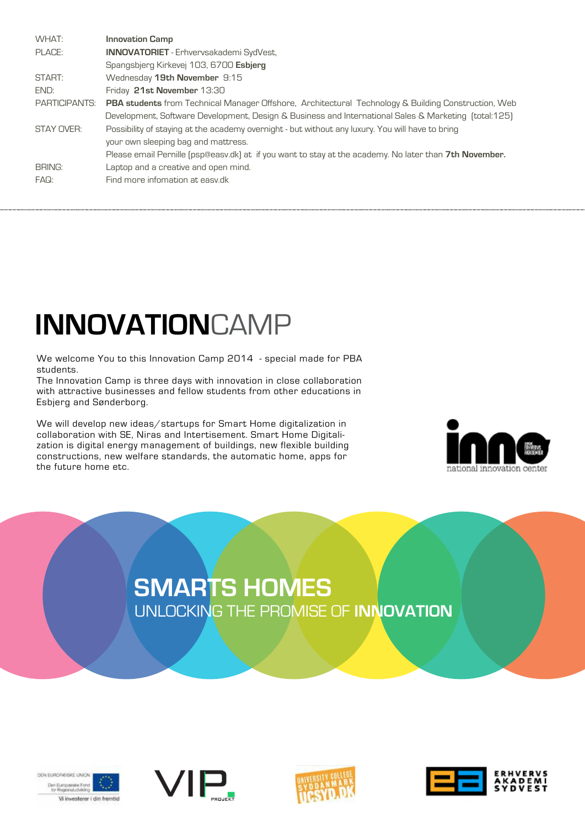| WHAT:         | <b>Innovation Camp</b>                                                                                     |
|---------------|------------------------------------------------------------------------------------------------------------|
| PLACE:        | <b>INNOVATORIET</b> - Erhvervsakademi SydVest,                                                             |
|               | Spangsbjerg Kirkevej 103, 6700 Esbjerg                                                                     |
| START:        | Wednesday 19th November 9:15                                                                               |
| END:          | Friday 21st November 13:30                                                                                 |
| PARTICIPANTS: | <b>PBA students</b> from Technical Manager Offshore, Architectural Technology & Building Construction, Web |
|               | Development, Software Development, Design & Business and International Sales & Marketing (total:125)       |
| STAY OVER:    | Possibility of staying at the academy overnight - but without any luxury. You will have to bring           |
|               | your own sleeping bag and mattress.                                                                        |
|               | Please email Pernille (psp@easv.dk) at if you want to stay at the academy. No later than 7th November.     |
| BRING:        | Laptop and a creative and open mind.                                                                       |
| FAQ:          | Find more infomation at easy dk                                                                            |

# **INNOVATION**CAMP

We welcome You to this Innovation Camp 2014 - special made for PBA students.

The Innovation Camp is three days with innovation in close collaboration with attractive businesses and fellow students from other educations in Esbjerg and Sønderborg.

We will develop new ideas/startups for Smart Home digitalization in collaboration with SE, Niras and Intertisement. Smart Home Digitalization is digital energy management of buildings, new flexible building constructions, new welfare standards, the automatic home, apps for the future home etc.



## **SMARTS HOMES** UNLOCKING THE PROMISE OF **INNOVATION**